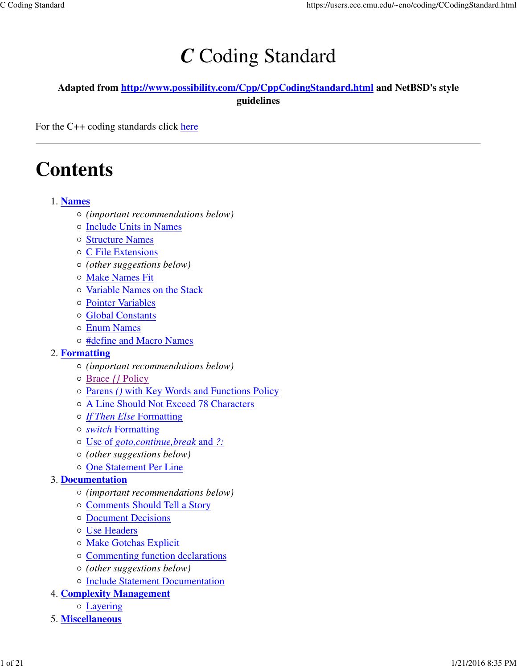# *C* Coding Standard

#### **Adapted from http://www.possibility.com/Cpp/CppCodingStandard.html and NetBSD's style guidelines**

For the C++ coding standards click here

# **Contents**

#### **Names** 1.

- *(important recommendations below)*
- o Include Units in Names
- Structure Names
- C File Extensions
- *(other suggestions below)*
- Make Names Fit
- o Variable Names on the Stack
- Pointer Variables
- Global Constants
- Enum Names
- #define and Macro Names

#### **Formatting** 2.

- *(important recommendations below)*
- Brace *{}* Policy
- Parens *()* with Key Words and Functions Policy
- A Line Should Not Exceed 78 Characters
- *If Then Else* Formatting
- *switch* Formatting
- Use of *goto,continue,break* and *?:*
- *(other suggestions below)*
- One Statement Per Line

#### **Documentation** 3.

- *(important recommendations below)*
- Comments Should Tell a Story
- Document Decisions
- Use Headers
- o Make Gotchas Explicit
- Commenting function declarations
- *(other suggestions below)*
- o Include Statement Documentation
- **Complexity Management** 4.
	- Layering
- 5. **Miscellaneous**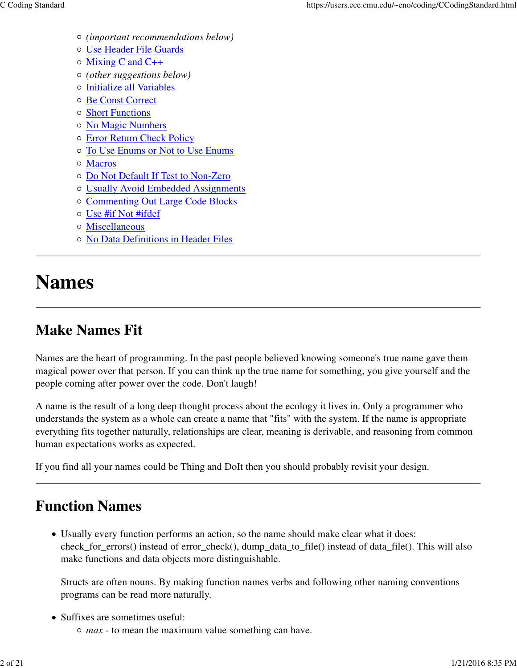- *(important recommendations below)*
- Use Header File Guards
- Mixing C and C++
- *(other suggestions below)*
- Initialize all Variables
- Be Const Correct
- Short Functions
- No Magic Numbers
- Error Return Check Policy
- To Use Enums or Not to Use Enums
- Macros
- Do Not Default If Test to Non-Zero
- Usually Avoid Embedded Assignments
- Commenting Out Large Code Blocks
- Use #if Not #ifdef
- Miscellaneous
- No Data Definitions in Header Files

# **Names**

## **Make Names Fit**

Names are the heart of programming. In the past people believed knowing someone's true name gave them magical power over that person. If you can think up the true name for something, you give yourself and the people coming after power over the code. Don't laugh!

A name is the result of a long deep thought process about the ecology it lives in. Only a programmer who understands the system as a whole can create a name that "fits" with the system. If the name is appropriate everything fits together naturally, relationships are clear, meaning is derivable, and reasoning from common human expectations works as expected.

If you find all your names could be Thing and DoIt then you should probably revisit your design.

### **Function Names**

Usually every function performs an action, so the name should make clear what it does: check\_for\_errors() instead of error\_check(), dump\_data\_to\_file() instead of data\_file(). This will also make functions and data objects more distinguishable.

Structs are often nouns. By making function names verbs and following other naming conventions programs can be read more naturally.

- Suffixes are sometimes useful:
	- *max* to mean the maximum value something can have.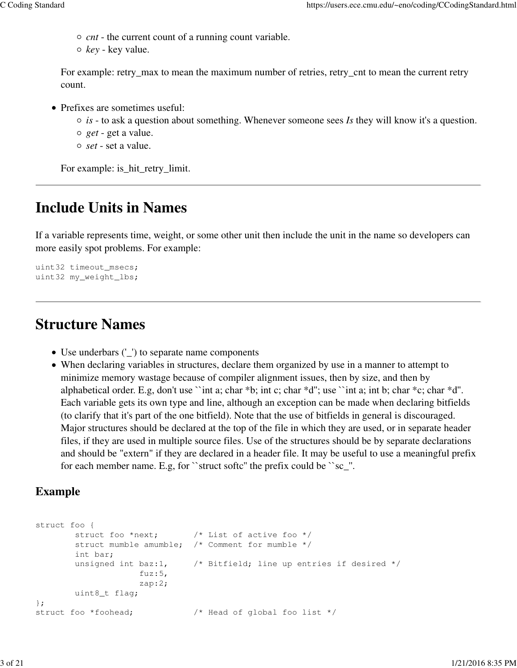- *cnt* the current count of a running count variable.
- *key* key value.

For example: retry\_max to mean the maximum number of retries, retry\_cnt to mean the current retry count.

- Prefixes are sometimes useful:
	- *is* to ask a question about something. Whenever someone sees *Is* they will know it's a question.
	- *get* get a value.
	- *set* set a value.

For example: is\_hit\_retry\_limit.

### **Include Units in Names**

If a variable represents time, weight, or some other unit then include the unit in the name so developers can more easily spot problems. For example:

```
uint32 timeout msecs;
uint32 my_weight_lbs;
```
### **Structure Names**

- Use underbars ('\_') to separate name components
- When declaring variables in structures, declare them organized by use in a manner to attempt to minimize memory wastage because of compiler alignment issues, then by size, and then by alphabetical order. E.g, don't use ``int a; char \*b; int c; char \*d''; use ``int a; int b; char \*c; char \*d''. Each variable gets its own type and line, although an exception can be made when declaring bitfields (to clarify that it's part of the one bitfield). Note that the use of bitfields in general is discouraged. Major structures should be declared at the top of the file in which they are used, or in separate header files, if they are used in multiple source files. Use of the structures should be by separate declarations and should be "extern" if they are declared in a header file. It may be useful to use a meaningful prefix for each member name. E.g, for ``struct softc'' the prefix could be ``sc\_''.

#### **Example**

```
struct foo {
       struct foo *next; \frac{1}{2} /* List of active foo */
       struct mumble amumble; /* Comment for mumble */int bar;
        unsigned int baz:1, \frac{1}{2} /* Bitfield; line up entries if desired */
                      fuz:5,
                      zap:2;
       uint8_t flag;
};
struct foo *foohead; /* Head of global foo list */
```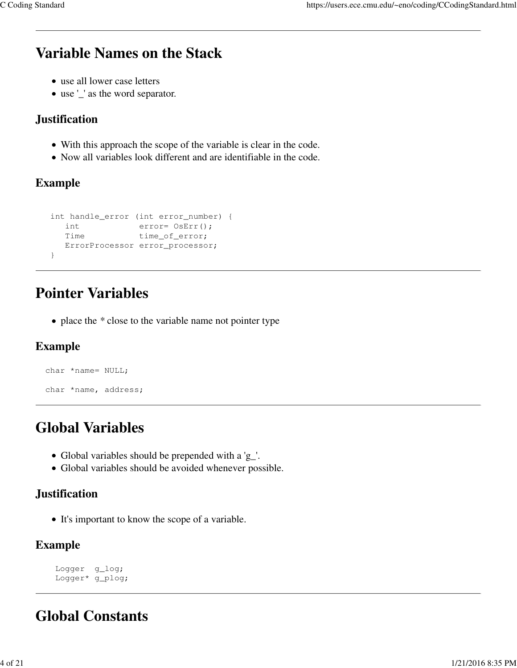## **Variable Names on the Stack**

- use all lower case letters
- use '\_' as the word separator.

#### **Justification**

- With this approach the scope of the variable is clear in the code.
- Now all variables look different and are identifiable in the code.

#### **Example**

```
 int handle_error (int error_number) {
 int error= OsErr();
Time time_of_error;
     ErrorProcessor error_processor;
   }
```
## **Pointer Variables**

• place the *\** close to the variable name not pointer type

#### **Example**

```
 char *name= NULL;
 char *name, address;
```
## **Global Variables**

- Global variables should be prepended with a 'g\_'.
- Global variables should be avoided whenever possible.

#### **Justification**

• It's important to know the scope of a variable.

#### **Example**

```
 Logger g_log;
 Logger* g_plog;
```
## **Global Constants**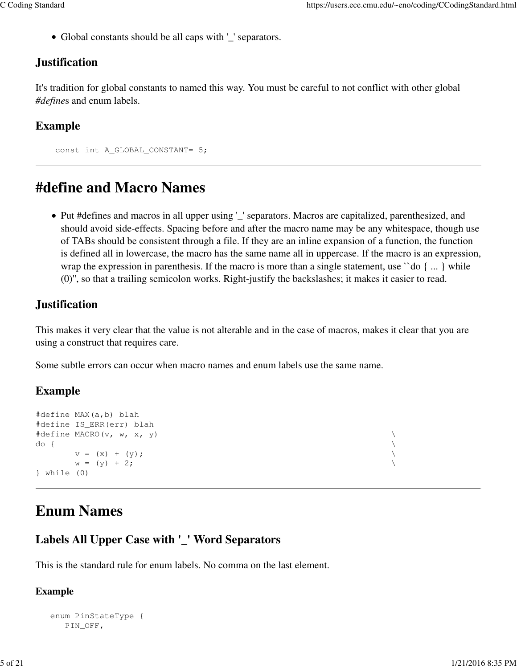Global constants should be all caps with '\_' separators.

#### **Justification**

It's tradition for global constants to named this way. You must be careful to not conflict with other global *#define*s and enum labels.

#### **Example**

```
 const int A_GLOBAL_CONSTANT= 5;
```
## **#define and Macro Names**

Put #defines and macros in all upper using '\_' separators. Macros are capitalized, parenthesized, and should avoid side-effects. Spacing before and after the macro name may be any whitespace, though use of TABs should be consistent through a file. If they are an inline expansion of a function, the function is defined all in lowercase, the macro has the same name all in uppercase. If the macro is an expression, wrap the expression in parenthesis. If the macro is more than a single statement, use "do { ... } while (0)'', so that a trailing semicolon works. Right-justify the backslashes; it makes it easier to read.

#### **Justification**

This makes it very clear that the value is not alterable and in the case of macros, makes it clear that you are using a construct that requires care.

Some subtle errors can occur when macro names and enum labels use the same name.

#### **Example**

```
#define MAX(a,b) blah
#define IS_ERR(err) blah
#define MACRO(v, w, x, y) \
do { \hspace{0.2cm}v = (x) + (y);
     w = (y) + 2;} while (0)
```
## **Enum Names**

### **Labels All Upper Case with '\_' Word Separators**

This is the standard rule for enum labels. No comma on the last element.

#### **Example**

```
 enum PinStateType {
    PIN_OFF,
```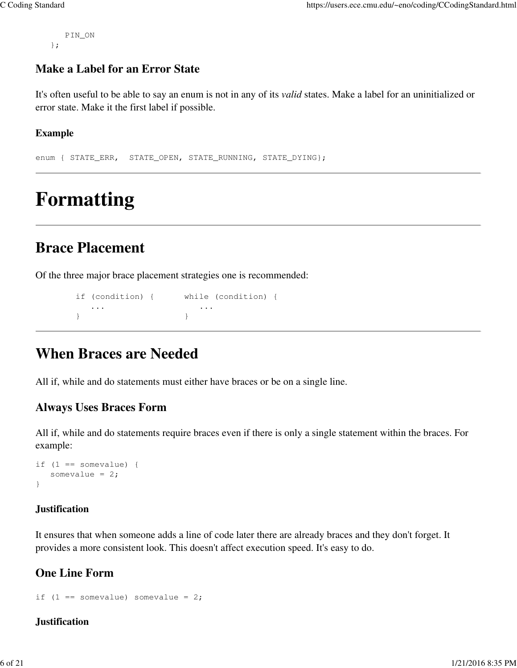PIN\_ON };

#### **Make a Label for an Error State**

It's often useful to be able to say an enum is not in any of its *valid* states. Make a label for an uninitialized or error state. Make it the first label if possible.

#### **Example**

enum { STATE\_ERR, STATE\_OPEN, STATE\_RUNNING, STATE\_DYING};

# **Formatting**

### **Brace Placement**

Of the three major brace placement strategies one is recommended:

```
 if (condition) { while (condition) {
 ... ...
 } }
```
### **When Braces are Needed**

All if, while and do statements must either have braces or be on a single line.

#### **Always Uses Braces Form**

All if, while and do statements require braces even if there is only a single statement within the braces. For example:

```
if (1 == somewhere) {
   somevalue = 2;
}
```
#### **Justification**

It ensures that when someone adds a line of code later there are already braces and they don't forget. It provides a more consistent look. This doesn't affect execution speed. It's easy to do.

#### **One Line Form**

```
if (1 == somewhere) somevalue = 2;
```
#### **Justification**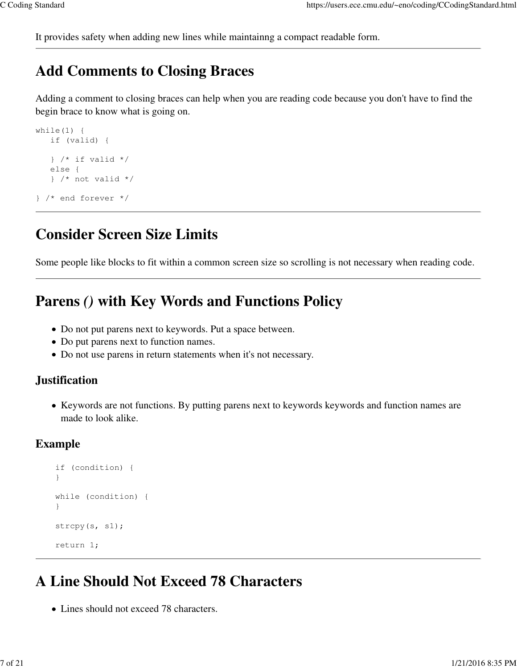It provides safety when adding new lines while maintainng a compact readable form.

### **Add Comments to Closing Braces**

Adding a comment to closing braces can help when you are reading code because you don't have to find the begin brace to know what is going on.

```
while(1) {
    if (valid) {
   } /* if valid */
    else {
    } /* not valid */
} /* end forever */
```
## **Consider Screen Size Limits**

Some people like blocks to fit within a common screen size so scrolling is not necessary when reading code.

### **Parens** *()* **with Key Words and Functions Policy**

- Do not put parens next to keywords. Put a space between.
- Do put parens next to function names.
- Do not use parens in return statements when it's not necessary.

#### **Justification**

• Keywords are not functions. By putting parens next to keywords keywords and function names are made to look alike.

#### **Example**

```
 if (condition) {
     }
     while (condition) {
 }
     strcpy(s, s1);
     return 1;
```
### **A Line Should Not Exceed 78 Characters**

Lines should not exceed 78 characters.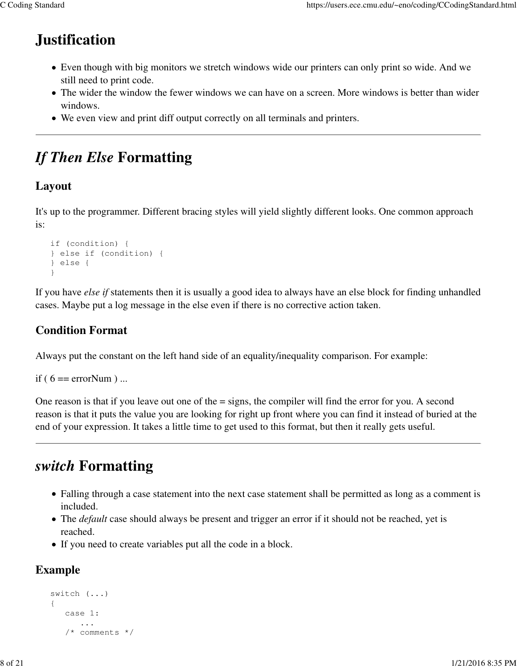## **Justification**

- Even though with big monitors we stretch windows wide our printers can only print so wide. And we still need to print code.
- The wider the window the fewer windows we can have on a screen. More windows is better than wider windows.
- We even view and print diff output correctly on all terminals and printers.

## *If Then Else* **Formatting**

#### **Layout**

It's up to the programmer. Different bracing styles will yield slightly different looks. One common approach is:

```
 if (condition) {
 } else if (condition) {
 } else {
 }
```
If you have *else if* statements then it is usually a good idea to always have an else block for finding unhandled cases. Maybe put a log message in the else even if there is no corrective action taken.

### **Condition Format**

Always put the constant on the left hand side of an equality/inequality comparison. For example:

```
if (6 = errorNum) ...
```
One reason is that if you leave out one of the = signs, the compiler will find the error for you. A second reason is that it puts the value you are looking for right up front where you can find it instead of buried at the end of your expression. It takes a little time to get used to this format, but then it really gets useful.

## *switch* **Formatting**

- Falling through a case statement into the next case statement shall be permitted as long as a comment is included.
- The *default* case should always be present and trigger an error if it should not be reached, yet is reached.
- If you need to create variables put all the code in a block.

### **Example**

```
 switch (...)
 {
    case 1:
        ...
    /* comments */
```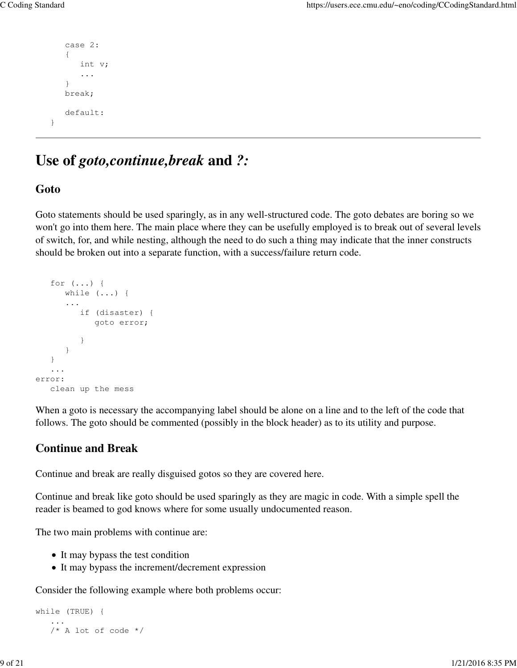```
 case 2:
     { 
         int v;
         ...
     }
    break;
    default:
 }
```
### **Use of** *goto,continue,break* **and** *?:*

#### **Goto**

Goto statements should be used sparingly, as in any well-structured code. The goto debates are boring so we won't go into them here. The main place where they can be usefully employed is to break out of several levels of switch, for, and while nesting, although the need to do such a thing may indicate that the inner constructs should be broken out into a separate function, with a success/failure return code.

```
 for (...) {
       while (...) {
       ...
         if (disaster) {
             goto error;
 } 
       }
    }
    ...
error:
    clean up the mess
```
When a goto is necessary the accompanying label should be alone on a line and to the left of the code that follows. The goto should be commented (possibly in the block header) as to its utility and purpose.

#### **Continue and Break**

Continue and break are really disguised gotos so they are covered here.

Continue and break like goto should be used sparingly as they are magic in code. With a simple spell the reader is beamed to god knows where for some usually undocumented reason.

The two main problems with continue are:

- It may bypass the test condition
- It may bypass the increment/decrement expression

Consider the following example where both problems occur:

```
while (TRUE) {
 ...
   /* A lot of code * /
```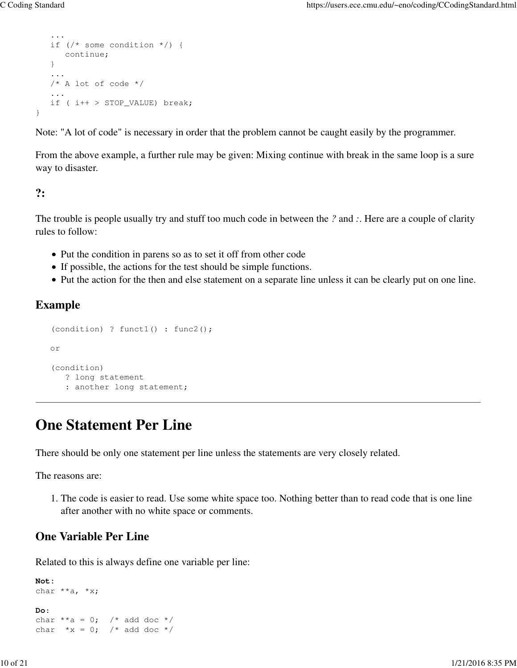```
 ...
   if (/* some condition */) {
      continue;
   }
 ...
    /* A lot of code */
    ...
   if ( i++ > STOP_VALUE) break;
```
Note: "A lot of code" is necessary in order that the problem cannot be caught easily by the programmer.

From the above example, a further rule may be given: Mixing continue with break in the same loop is a sure way to disaster.

#### **?:**

}

The trouble is people usually try and stuff too much code in between the *?* and *:*. Here are a couple of clarity rules to follow:

- Put the condition in parens so as to set it off from other code
- If possible, the actions for the test should be simple functions.
- Put the action for the then and else statement on a separate line unless it can be clearly put on one line.

#### **Example**

```
 (condition) ? funct1() : func2();
 or
 (condition)
    ? long statement
    : another long statement;
```
### **One Statement Per Line**

There should be only one statement per line unless the statements are very closely related.

The reasons are:

1. The code is easier to read. Use some white space too. Nothing better than to read code that is one line after another with no white space or comments.

#### **One Variable Per Line**

Related to this is always define one variable per line:

```
Not:
char **a, *x;
Do:
char **a = 0; /* add doc */
char *x = 0; /* add doc */
```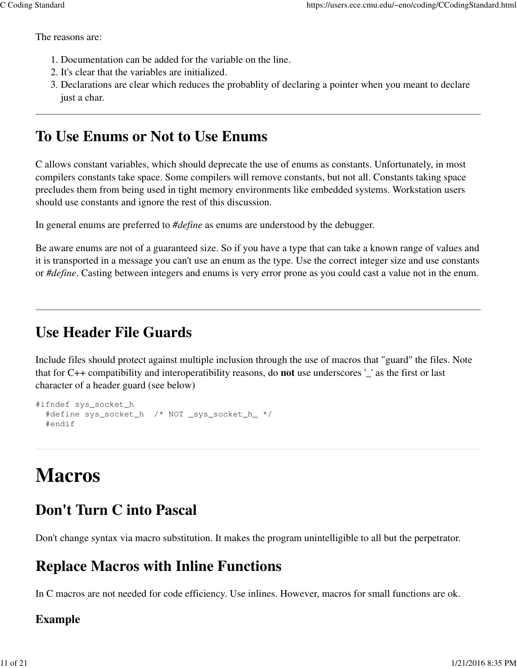The reasons are:

- 1. Documentation can be added for the variable on the line.
- 2. It's clear that the variables are initialized.
- Declarations are clear which reduces the probablity of declaring a pointer when you meant to declare 3. just a char.

## **To Use Enums or Not to Use Enums**

C allows constant variables, which should deprecate the use of enums as constants. Unfortunately, in most compilers constants take space. Some compilers will remove constants, but not all. Constants taking space precludes them from being used in tight memory environments like embedded systems. Workstation users should use constants and ignore the rest of this discussion.

In general enums are preferred to *#define* as enums are understood by the debugger.

Be aware enums are not of a guaranteed size. So if you have a type that can take a known range of values and it is transported in a message you can't use an enum as the type. Use the correct integer size and use constants or *#define*. Casting between integers and enums is very error prone as you could cast a value not in the enum.

### **Use Header File Guards**

Include files should protect against multiple inclusion through the use of macros that "guard" the files. Note that for C++ compatibility and interoperatibility reasons, do **not** use underscores '\_' as the first or last character of a header guard (see below)

```
#ifndef sys_socket_h
   #define sys_socket_h /* NOT _sys_socket_h_ */
   #endif
```
# **Macros**

### **Don't Turn C into Pascal**

Don't change syntax via macro substitution. It makes the program unintelligible to all but the perpetrator.

## **Replace Macros with Inline Functions**

In C macros are not needed for code efficiency. Use inlines. However, macros for small functions are ok.

#### **Example**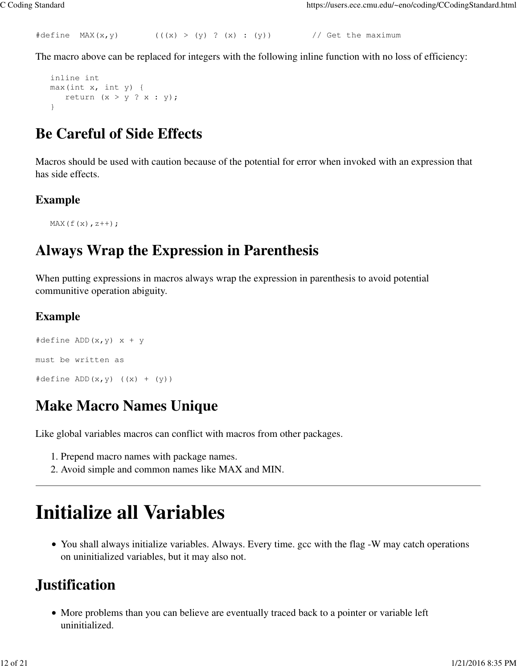```
#define MAX(x, y) (((x) > (y) ? (x) : (y)) // Get the maximum
```
The macro above can be replaced for integers with the following inline function with no loss of efficiency:

```
 inline int 
 max(int x, int y) {
  return (x > y ? x : y);
 }
```
### **Be Careful of Side Effects**

Macros should be used with caution because of the potential for error when invoked with an expression that has side effects.

#### **Example**

```
MAX(f(x), z++);
```
## **Always Wrap the Expression in Parenthesis**

When putting expressions in macros always wrap the expression in parenthesis to avoid potential communitive operation abiguity.

#### **Example**

```
#define ADD(x, y) x + ymust be written as 
\# \text{define } \text{ADD}(x, y) \quad ((x) + (y))
```
## **Make Macro Names Unique**

Like global variables macros can conflict with macros from other packages.

- 1. Prepend macro names with package names.
- 2. Avoid simple and common names like MAX and MIN.

# **Initialize all Variables**

• You shall always initialize variables. Always. Every time. gcc with the flag -W may catch operations on uninitialized variables, but it may also not.

## **Justification**

• More problems than you can believe are eventually traced back to a pointer or variable left uninitialized.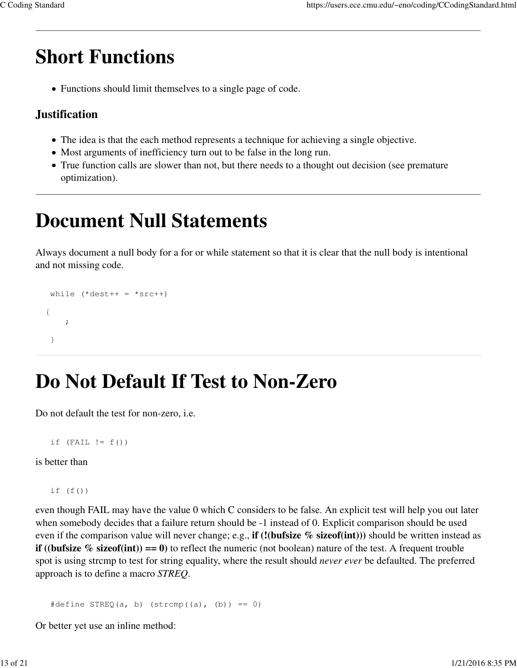# **Short Functions**

Functions should limit themselves to a single page of code.

#### **Justification**

- The idea is that the each method represents a technique for achieving a single objective.
- Most arguments of inefficiency turn out to be false in the long run.
- True function calls are slower than not, but there needs to a thought out decision (see premature optimization).

# **Document Null Statements**

Always document a null body for a for or while statement so that it is clear that the null body is intentional and not missing code.

```
while (*dest++ = *src++) {
\mathcal{L} ; and \mathcal{L} }
```
# **Do Not Default If Test to Non-Zero**

Do not default the test for non-zero, i.e.

```
if (FAIL != f())
```
is better than

if  $(f()$ 

even though FAIL may have the value 0 which C considers to be false. An explicit test will help you out later when somebody decides that a failure return should be -1 instead of 0. Explicit comparison should be used even if the comparison value will never change; e.g., **if (!(bufsize % sizeof(int)))** should be written instead as **if** ((**bufsize**  $\%$  sizeof(**int**)) = 0) to reflect the numeric (not boolean) nature of the test. A frequent trouble spot is using strcmp to test for string equality, where the result should *never ever* be defaulted. The preferred approach is to define a macro *STREQ*.

 $\# \text{define } \text{STREQ}(a, b) \text{ (strong((a), (b)) == 0)}$ 

Or better yet use an inline method: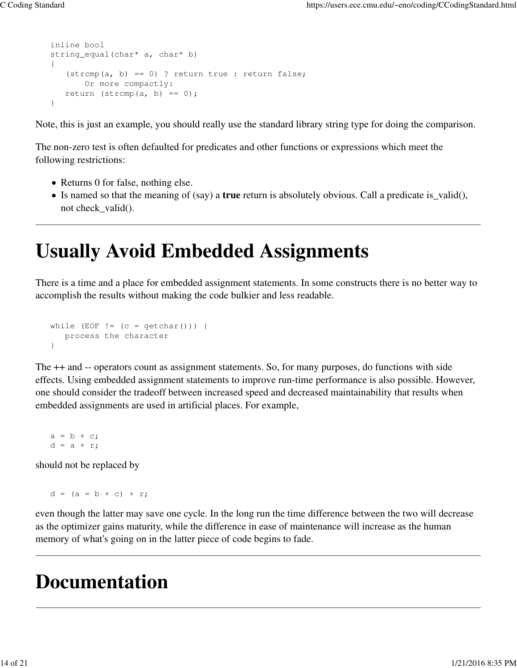```
 inline bool
 string_equal(char* a, char* b)
 {
   (strcmp(a, b) == 0) ? return true : return false;
       Or more compactly:
   return (strcmp(a, b) == 0);
 }
```
Note, this is just an example, you should really use the standard library string type for doing the comparison.

The non-zero test is often defaulted for predicates and other functions or expressions which meet the following restrictions:

- Returns 0 for false, nothing else.
- Is named so that the meaning of (say) a **true** return is absolutely obvious. Call a predicate is\_valid(), not check\_valid().

# **Usually Avoid Embedded Assignments**

There is a time and a place for embedded assignment statements. In some constructs there is no better way to accomplish the results without making the code bulkier and less readable.

```
while (EOF != (c = getchar())) {
   process the character
 }
```
The ++ and -- operators count as assignment statements. So, for many purposes, do functions with side effects. Using embedded assignment statements to improve run-time performance is also possible. However, one should consider the tradeoff between increased speed and decreased maintainability that results when embedded assignments are used in artificial places. For example,

 $a = b + c;$  $d = a + r;$ 

should not be replaced by

 $d = (a = b + c) + r;$ 

even though the latter may save one cycle. In the long run the time difference between the two will decrease as the optimizer gains maturity, while the difference in ease of maintenance will increase as the human memory of what's going on in the latter piece of code begins to fade.

## **Documentation**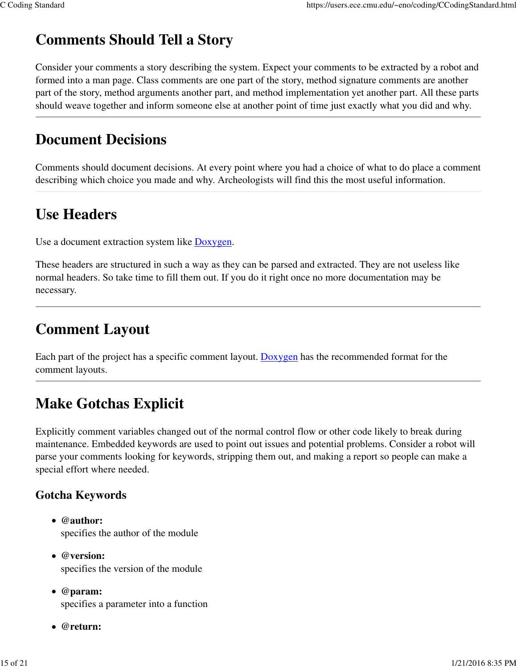## **Comments Should Tell a Story**

Consider your comments a story describing the system. Expect your comments to be extracted by a robot and formed into a man page. Class comments are one part of the story, method signature comments are another part of the story, method arguments another part, and method implementation yet another part. All these parts should weave together and inform someone else at another point of time just exactly what you did and why.

## **Document Decisions**

Comments should document decisions. At every point where you had a choice of what to do place a comment describing which choice you made and why. Archeologists will find this the most useful information.

## **Use Headers**

Use a document extraction system like Doxygen.

These headers are structured in such a way as they can be parsed and extracted. They are not useless like normal headers. So take time to fill them out. If you do it right once no more documentation may be necessary.

## **Comment Layout**

Each part of the project has a specific comment layout. Doxygen has the recommended format for the comment layouts.

## **Make Gotchas Explicit**

Explicitly comment variables changed out of the normal control flow or other code likely to break during maintenance. Embedded keywords are used to point out issues and potential problems. Consider a robot will parse your comments looking for keywords, stripping them out, and making a report so people can make a special effort where needed.

#### **Gotcha Keywords**

- **@author:** specifies the author of the module
- **@version:** specifies the version of the module
- **@param:** specifies a parameter into a function
- **@return:**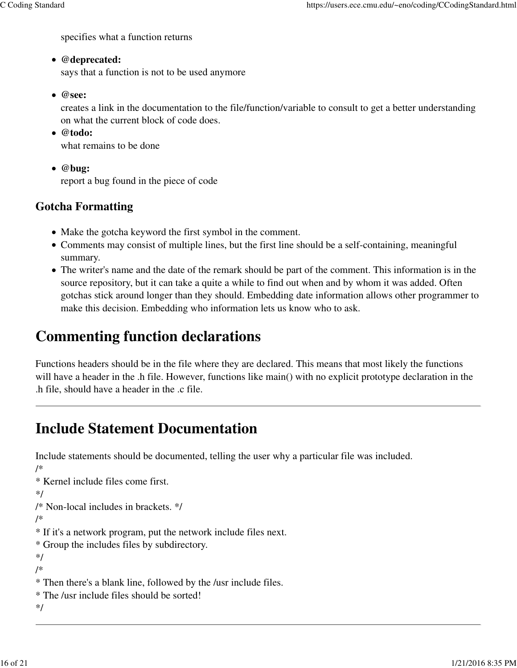specifies what a function returns

#### **@deprecated:**

says that a function is not to be used anymore

**@see:**

creates a link in the documentation to the file/function/variable to consult to get a better understanding on what the current block of code does.

**@todo:**

what remains to be done

**@bug:**

report a bug found in the piece of code

### **Gotcha Formatting**

- Make the gotcha keyword the first symbol in the comment.
- Comments may consist of multiple lines, but the first line should be a self-containing, meaningful summary.
- The writer's name and the date of the remark should be part of the comment. This information is in the source repository, but it can take a quite a while to find out when and by whom it was added. Often gotchas stick around longer than they should. Embedding date information allows other programmer to make this decision. Embedding who information lets us know who to ask.

## **Commenting function declarations**

Functions headers should be in the file where they are declared. This means that most likely the functions will have a header in the .h file. However, functions like main() with no explicit prototype declaration in the .h file, should have a header in the .c file.

## **Include Statement Documentation**

Include statements should be documented, telling the user why a particular file was included. /\* \* Kernel include files come first. \*/ /\* Non-local includes in brackets. \*/ /\* \* If it's a network program, put the network include files next. \* Group the includes files by subdirectory. \*/ /\* \* Then there's a blank line, followed by the /usr include files. \* The /usr include files should be sorted! \*/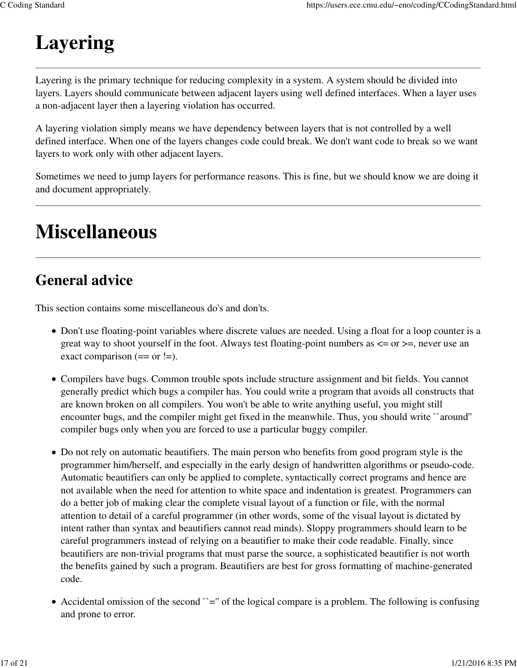# **Layering**

Layering is the primary technique for reducing complexity in a system. A system should be divided into layers. Layers should communicate between adjacent layers using well defined interfaces. When a layer uses a non-adjacent layer then a layering violation has occurred.

A layering violation simply means we have dependency between layers that is not controlled by a well defined interface. When one of the layers changes code could break. We don't want code to break so we want layers to work only with other adjacent layers.

Sometimes we need to jump layers for performance reasons. This is fine, but we should know we are doing it and document appropriately.

# **Miscellaneous**

## **General advice**

This section contains some miscellaneous do's and don'ts.

- Don't use floating-point variables where discrete values are needed. Using a float for a loop counter is a great way to shoot yourself in the foot. Always test floating-point numbers as  $\leq$  or  $\geq$ , never use an exact comparison  $(== or !=).$
- Compilers have bugs. Common trouble spots include structure assignment and bit fields. You cannot generally predict which bugs a compiler has. You could write a program that avoids all constructs that are known broken on all compilers. You won't be able to write anything useful, you might still encounter bugs, and the compiler might get fixed in the meanwhile. Thus, you should write ``around'' compiler bugs only when you are forced to use a particular buggy compiler.
- Do not rely on automatic beautifiers. The main person who benefits from good program style is the programmer him/herself, and especially in the early design of handwritten algorithms or pseudo-code. Automatic beautifiers can only be applied to complete, syntactically correct programs and hence are not available when the need for attention to white space and indentation is greatest. Programmers can do a better job of making clear the complete visual layout of a function or file, with the normal attention to detail of a careful programmer (in other words, some of the visual layout is dictated by intent rather than syntax and beautifiers cannot read minds). Sloppy programmers should learn to be careful programmers instead of relying on a beautifier to make their code readable. Finally, since beautifiers are non-trivial programs that must parse the source, a sophisticated beautifier is not worth the benefits gained by such a program. Beautifiers are best for gross formatting of machine-generated code.
- Accidental omission of the second  $\leq$  of the logical compare is a problem. The following is confusing and prone to error.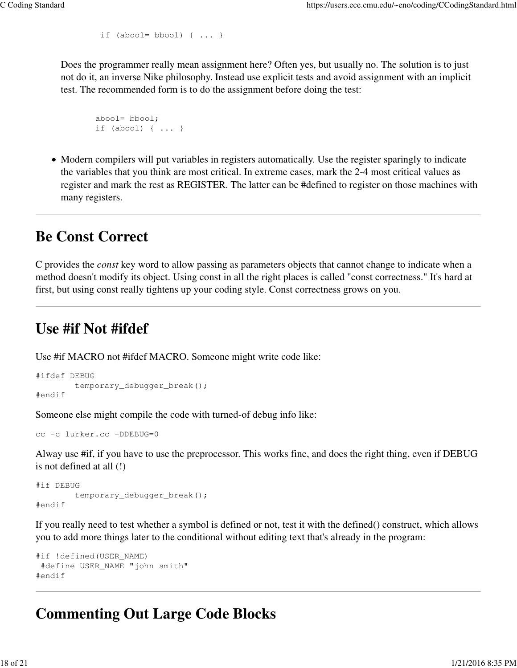```
if (abool= bbool) \{\ldots\}
```
Does the programmer really mean assignment here? Often yes, but usually no. The solution is to just not do it, an inverse Nike philosophy. Instead use explicit tests and avoid assignment with an implicit test. The recommended form is to do the assignment before doing the test:

```
 abool= bbool;
 if (abool) { ... }
```
• Modern compilers will put variables in registers automatically. Use the register sparingly to indicate the variables that you think are most critical. In extreme cases, mark the 2-4 most critical values as register and mark the rest as REGISTER. The latter can be #defined to register on those machines with many registers.

### **Be Const Correct**

C provides the *const* key word to allow passing as parameters objects that cannot change to indicate when a method doesn't modify its object. Using const in all the right places is called "const correctness." It's hard at first, but using const really tightens up your coding style. Const correctness grows on you.

## **Use #if Not #ifdef**

Use #if MACRO not #ifdef MACRO. Someone might write code like:

```
#ifdef DEBUG
         temporary_debugger_break();
#endif
```
Someone else might compile the code with turned-of debug info like:

```
cc -c lurker.cc -DDEBUG=0
```
Alway use #if, if you have to use the preprocessor. This works fine, and does the right thing, even if DEBUG is not defined at all (!)

```
#if DEBUG
         temporary_debugger_break();
#endif
```
If you really need to test whether a symbol is defined or not, test it with the defined() construct, which allows you to add more things later to the conditional without editing text that's already in the program:

```
#if !defined(USER_NAME)
 #define USER_NAME "john smith"
#endif
```
## **Commenting Out Large Code Blocks**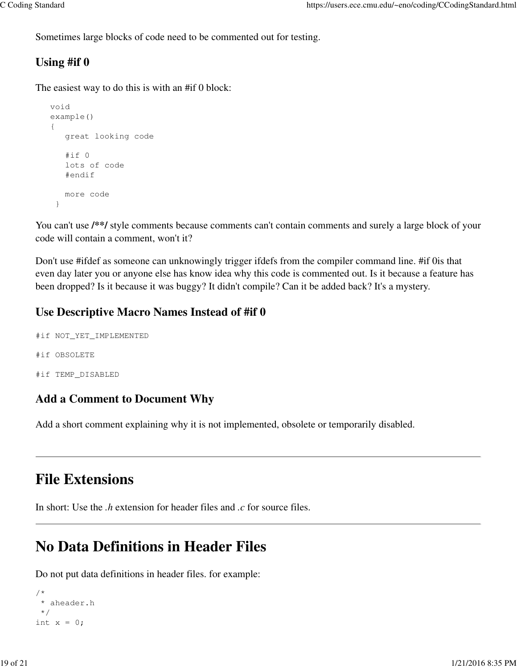Sometimes large blocks of code need to be commented out for testing.

#### **Using #if 0**

The easiest way to do this is with an #if 0 block:

```
 void 
 example()
 {
    great looking code
    #if 0
    lots of code
    #endif
    more code
  }
```
You can't use  $\frac{f^{*}}{f}$  style comments because comments can't contain comments and surely a large block of your code will contain a comment, won't it?

Don't use #ifdef as someone can unknowingly trigger ifdefs from the compiler command line. #if 0is that even day later you or anyone else has know idea why this code is commented out. Is it because a feature has been dropped? Is it because it was buggy? It didn't compile? Can it be added back? It's a mystery.

#### **Use Descriptive Macro Names Instead of #if 0**

```
#if NOT_YET_IMPLEMENTED 
#if OBSOLETE
#if TEMP_DISABLED
```
#### **Add a Comment to Document Why**

Add a short comment explaining why it is not implemented, obsolete or temporarily disabled.

### **File Extensions**

In short: Use the *.h* extension for header files and *.c* for source files.

### **No Data Definitions in Header Files**

Do not put data definitions in header files. for example:

```
/* 
  * aheader.h 
  */
int x = 0;
```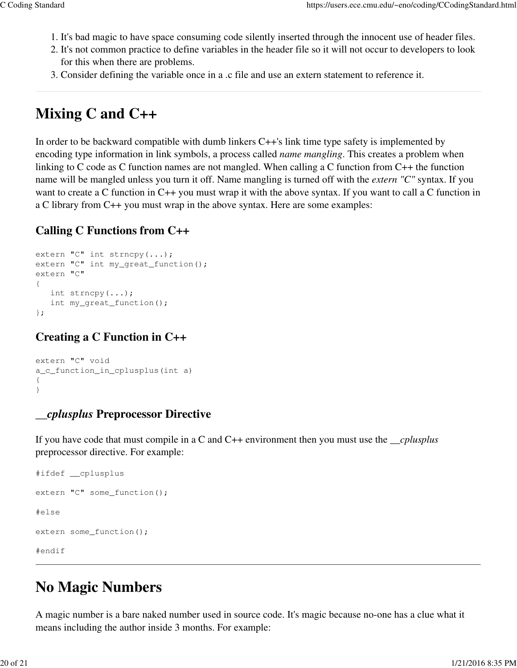- 1. It's bad magic to have space consuming code silently inserted through the innocent use of header files.
- 2. It's not common practice to define variables in the header file so it will not occur to developers to look for this when there are problems.
- 3. Consider defining the variable once in a .c file and use an extern statement to reference it.

### **Mixing C and C++**

In order to be backward compatible with dumb linkers C++'s link time type safety is implemented by encoding type information in link symbols, a process called *name mangling*. This creates a problem when linking to C code as C function names are not mangled. When calling a C function from C++ the function name will be mangled unless you turn it off. Name mangling is turned off with the *extern "C"* syntax. If you want to create a C function in C++ you must wrap it with the above syntax. If you want to call a C function in a C library from C++ you must wrap in the above syntax. Here are some examples:

#### **Calling C Functions from C++**

```
extern "C" int strncpy(...);
extern "C" int my_great_function();
extern "C"
{
    int strncpy(...);
    int my_great_function();
};
```
#### **Creating a C Function in C++**

```
extern "C" void
a_c_function_in_cplusplus(int a)
{
}
```
#### *\_\_cplusplus* **Preprocessor Directive**

If you have code that must compile in a C and C++ environment then you must use the *\_\_cplusplus* preprocessor directive. For example:

```
#ifdef __cplusplus
extern "C" some_function();
#else
extern some_function();
#endif
```
### **No Magic Numbers**

A magic number is a bare naked number used in source code. It's magic because no-one has a clue what it means including the author inside 3 months. For example: